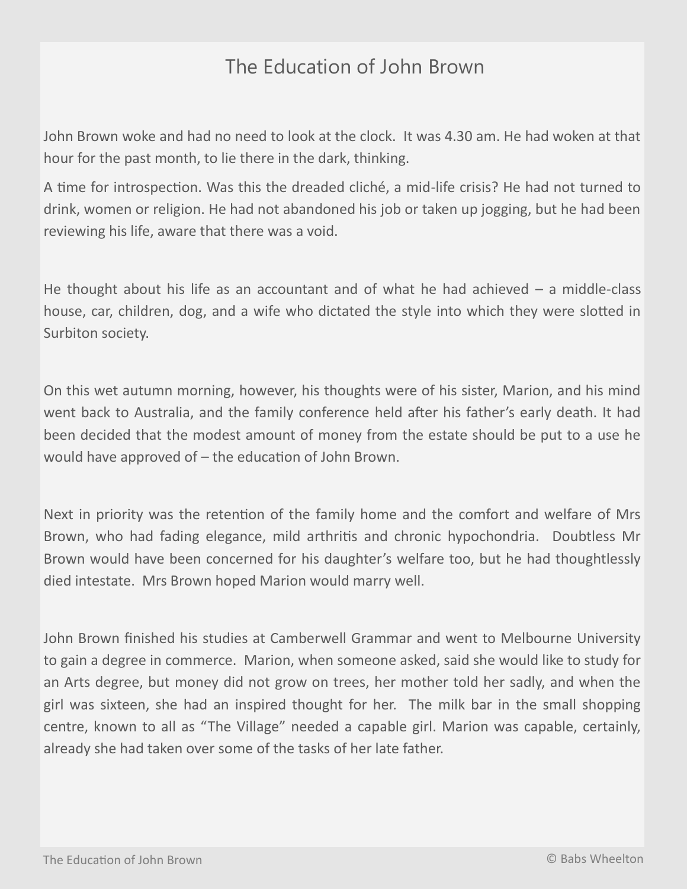## The Education of John Brown

John Brown woke and had no need to look at the clock. It was 4.30 am. He had woken at that hour for the past month, to lie there in the dark, thinking.

A time for introspection. Was this the dreaded cliché, a mid-life crisis? He had not turned to drink, women or religion. He had not abandoned his job or taken up jogging, but he had been reviewing his life, aware that there was a void.

He thought about his life as an accountant and of what he had achieved  $-$  a middle-class house, car, children, dog, and a wife who dictated the style into which they were slotted in Surbiton society.

On this wet autumn morning, however, his thoughts were of his sister, Marion, and his mind went back to Australia, and the family conference held after his father's early death. It had been decided that the modest amount of money from the estate should be put to a use he would have approved of – the education of John Brown.

Next in priority was the retention of the family home and the comfort and welfare of Mrs Brown, who had fading elegance, mild arthritis and chronic hypochondria. Doubtless Mr Brown would have been concerned for his daughter's welfare too, but he had thoughtlessly died intestate. Mrs Brown hoped Marion would marry well.

John Brown finished his studies at Camberwell Grammar and went to Melbourne University to gain a degree in commerce. Marion, when someone asked, said she would like to study for an Arts degree, but money did not grow on trees, her mother told her sadly, and when the girl was sixteen, she had an inspired thought for her. The milk bar in the small shopping centre, known to all as "The Village" needed a capable girl. Marion was capable, certainly, already she had taken over some of the tasks of her late father.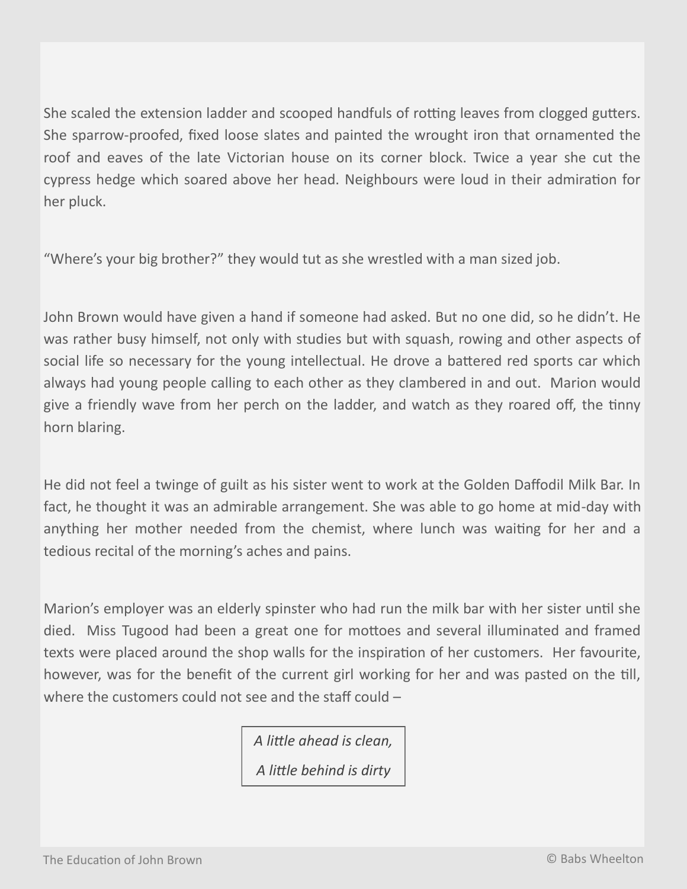She scaled the extension ladder and scooped handfuls of rotting leaves from clogged gutters. She sparrow-proofed, fixed loose slates and painted the wrought iron that ornamented the roof and eaves of the late Victorian house on its corner block. Twice a year she cut the cypress hedge which soared above her head. Neighbours were loud in their admiration for her pluck.

"Where's your big brother?" they would tut as she wrestled with a man sized job.

John Brown would have given a hand if someone had asked. But no one did, so he didn't. He was rather busy himself, not only with studies but with squash, rowing and other aspects of social life so necessary for the young intellectual. He drove a battered red sports car which always had young people calling to each other as they clambered in and out. Marion would give a friendly wave from her perch on the ladder, and watch as they roared off, the tinny horn blaring.

He did not feel a twinge of guilt as his sister went to work at the Golden Daffodil Milk Bar. In fact, he thought it was an admirable arrangement. She was able to go home at mid-day with anything her mother needed from the chemist, where lunch was waiting for her and a tedious recital of the morning's aches and pains.

Marion's employer was an elderly spinster who had run the milk bar with her sister until she died. Miss Tugood had been a great one for mottoes and several illuminated and framed texts were placed around the shop walls for the inspiration of her customers. Her favourite, however, was for the benefit of the current girl working for her and was pasted on the till, where the customers could not see and the staff could -

*A little ahead is clean,*

*A little behind is dirty*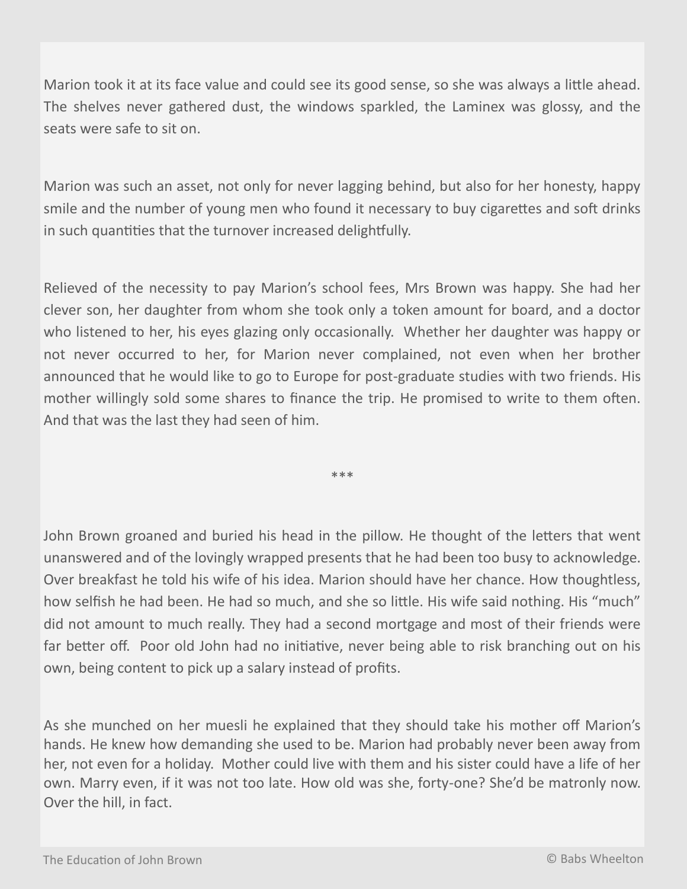Marion took it at its face value and could see its good sense, so she was always a little ahead. The shelves never gathered dust, the windows sparkled, the Laminex was glossy, and the seats were safe to sit on.

Marion was such an asset, not only for never lagging behind, but also for her honesty, happy smile and the number of young men who found it necessary to buy cigarettes and soft drinks in such quantities that the turnover increased delightfully.

Relieved of the necessity to pay Marion's school fees, Mrs Brown was happy. She had her clever son, her daughter from whom she took only a token amount for board, and a doctor who listened to her, his eyes glazing only occasionally. Whether her daughter was happy or not never occurred to her, for Marion never complained, not even when her brother announced that he would like to go to Europe for post-graduate studies with two friends. His mother willingly sold some shares to finance the trip. He promised to write to them often. And that was the last they had seen of him.

\*\*\*

John Brown groaned and buried his head in the pillow. He thought of the letters that went unanswered and of the lovingly wrapped presents that he had been too busy to acknowledge. Over breakfast he told his wife of his idea. Marion should have her chance. How thoughtless, how selfish he had been. He had so much, and she so little. His wife said nothing. His "much" did not amount to much really. They had a second mortgage and most of their friends were far better off. Poor old John had no initiative, never being able to risk branching out on his own, being content to pick up a salary instead of profits.

As she munched on her muesli he explained that they should take his mother off Marion's hands. He knew how demanding she used to be. Marion had probably never been away from her, not even for a holiday. Mother could live with them and his sister could have a life of her own. Marry even, if it was not too late. How old was she, forty-one? She'd be matronly now. Over the hill, in fact.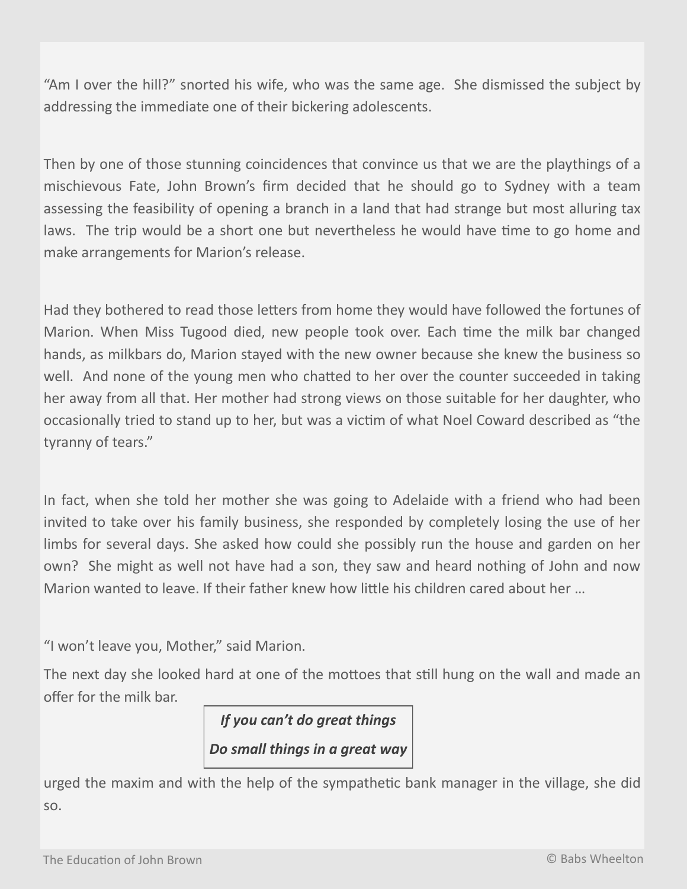"Am I over the hill?" snorted his wife, who was the same age. She dismissed the subject by addressing the immediate one of their bickering adolescents.

Then by one of those stunning coincidences that convince us that we are the playthings of a mischievous Fate, John Brown's firm decided that he should go to Sydney with a team assessing the feasibility of opening a branch in a land that had strange but most alluring tax laws. The trip would be a short one but nevertheless he would have time to go home and make arrangements for Marion's release.

Had they bothered to read those letters from home they would have followed the fortunes of Marion. When Miss Tugood died, new people took over. Each time the milk bar changed hands, as milkbars do, Marion stayed with the new owner because she knew the business so well. And none of the young men who chatted to her over the counter succeeded in taking her away from all that. Her mother had strong views on those suitable for her daughter, who occasionally tried to stand up to her, but was a victim of what Noel Coward described as "the tyranny of tears."

In fact, when she told her mother she was going to Adelaide with a friend who had been invited to take over his family business, she responded by completely losing the use of her limbs for several days. She asked how could she possibly run the house and garden on her own? She might as well not have had a son, they saw and heard nothing of John and now Marion wanted to leave. If their father knew how little his children cared about her …

"I won't leave you, Mother," said Marion.

The next day she looked hard at one of the mottoes that still hung on the wall and made an offer for the milk bar.

## *If you can't do great things Do small things in a great way*

urged the maxim and with the help of the sympathetic bank manager in the village, she did so.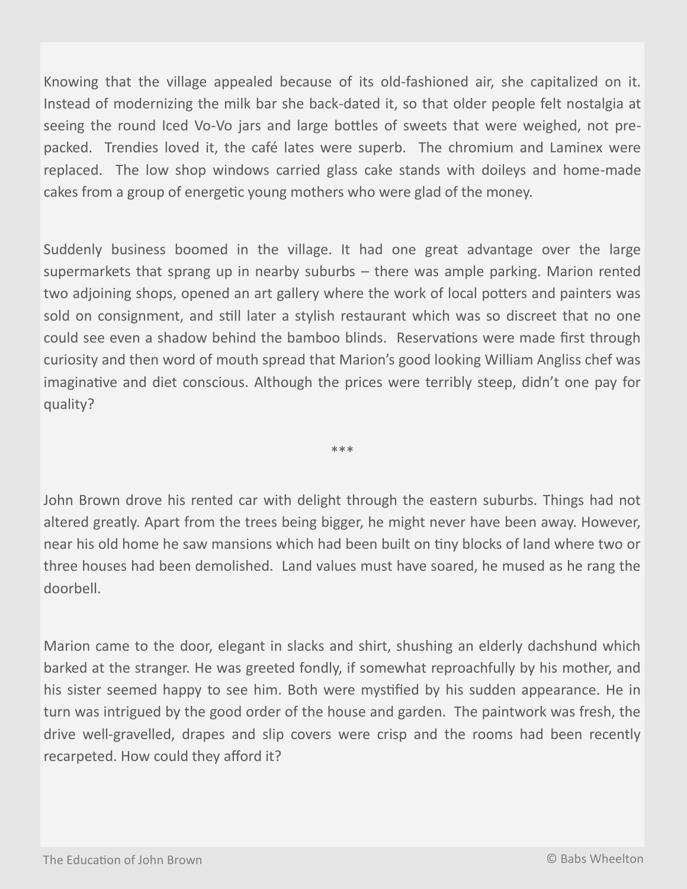Knowing that the village appealed because of its old-fashioned air, she capitalized on it. Instead of modernizing the milk bar she back-dated it, so that older people felt nostalgia at seeing the round Iced Vo-Vo jars and large bottles of sweets that were weighed, not prepacked. Trendies loved it, the café lates were superb. The chromium and Laminex were replaced. The low shop windows carried glass cake stands with doileys and home-made cakes from a group of energetic young mothers who were glad of the money.

Suddenly business boomed in the village. It had one great advantage over the large supermarkets that sprang up in nearby suburbs – there was ample parking. Marion rented two adjoining shops, opened an art gallery where the work of local potters and painters was sold on consignment, and still later a stylish restaurant which was so discreet that no one could see even a shadow behind the bamboo blinds. Reservations were made first through curiosity and then word of mouth spread that Marion's good looking William Angliss chef was imaginative and diet conscious. Although the prices were terribly steep, didn't one pay for quality?

\*\*\*

John Brown drove his rented car with delight through the eastern suburbs. Things had not altered greatly. Apart from the trees being bigger, he might never have been away. However, near his old home he saw mansions which had been built on tiny blocks of land where two or three houses had been demolished. Land values must have soared, he mused as he rang the doorbell.

Marion came to the door, elegant in slacks and shirt, shushing an elderly dachshund which barked at the stranger. He was greeted fondly, if somewhat reproachfully by his mother, and his sister seemed happy to see him. Both were mystified by his sudden appearance. He in turn was intrigued by the good order of the house and garden. The paintwork was fresh, the drive well-gravelled, drapes and slip covers were crisp and the rooms had been recently recarpeted. How could they afford it?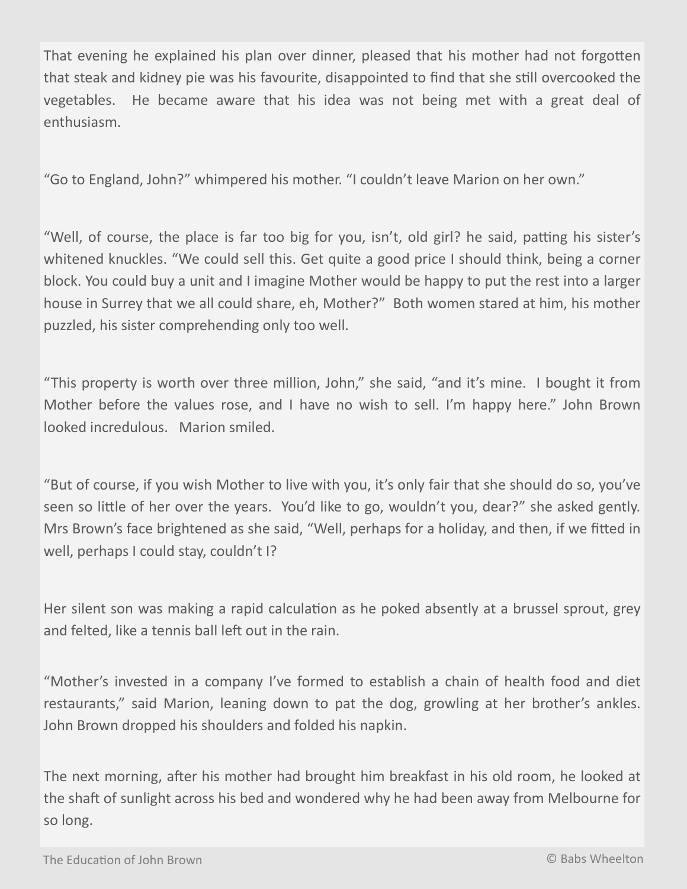That evening he explained his plan over dinner, pleased that his mother had not forgotten that steak and kidney pie was his favourite, disappointed to find that she still overcooked the vegetables. He became aware that his idea was not being met with a great deal of enthusiasm.

"Go to England, John?" whimpered his mother. "I couldn't leave Marion on her own."

"Well, of course, the place is far too big for you, isn't, old girl? he said, patting his sister's whitened knuckles. "We could sell this. Get quite a good price I should think, being a corner block. You could buy a unit and I imagine Mother would be happy to put the rest into a larger house in Surrey that we all could share, eh, Mother?" Both women stared at him, his mother puzzled, his sister comprehending only too well.

"This property is worth over three million, John," she said, "and it's mine. I bought it from Mother before the values rose, and I have no wish to sell. I'm happy here." John Brown looked incredulous. Marion smiled.

"But of course, if you wish Mother to live with you, it's only fair that she should do so, you've seen so little of her over the years. You'd like to go, wouldn't you, dear?" she asked gently. Mrs Brown's face brightened as she said, "Well, perhaps for a holiday, and then, if we fitted in well, perhaps I could stay, couldn't I?

Her silent son was making a rapid calculation as he poked absently at a brussel sprout, grey and felted, like a tennis ball left out in the rain.

"Mother's invested in a company I've formed to establish a chain of health food and diet restaurants," said Marion, leaning down to pat the dog, growling at her brother's ankles. John Brown dropped his shoulders and folded his napkin.

The next morning, after his mother had brought him breakfast in his old room, he looked at the shaft of sunlight across his bed and wondered why he had been away from Melbourne for so long.